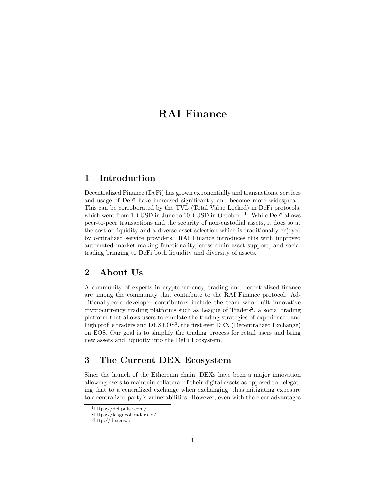# RAI Finance

## 1 Introduction

Decentralized Finance (DeFi) has grown exponentially and transactions, services and usage of DeFi have increased significantly and become more widespread. This can be corroborated by the TVL (Total Value Locked) in DeFi protocols, which went from 1B USD in June to 10B USD in October.<sup>1</sup>. While DeFi allows peer-to-peer transactions and the security of non-custodial assets, it does so at the cost of liquidity and a diverse asset selection which is traditionally enjoyed by centralized service providers. RAI Finance introduces this with improved automated market making functionality, cross-chain asset support, and social trading bringing to DeFi both liquidity and diversity of assets.

## 2 About Us

A community of experts in cryptocurrency, trading and decentralized finance are among the community that contribute to the RAI Finance protocol. Additionally,core developer contributors include the team who built innovative cryptocurrency trading platforms such as League of Traders<sup>2</sup>, a social trading platform that allows users to emulate the trading strategies of experienced and high profile traders and  $DEXEOS<sup>3</sup>$ , the first ever DEX (Decentralized Exchange) on EOS. Our goal is to simplify the trading process for retail users and bring new assets and liquidity into the DeFi Ecosystem.

## 3 The Current DEX Ecosystem

Since the launch of the Ethereum chain, DEXs have been a major innovation allowing users to maintain collateral of their digital assets as opposed to delegating that to a centralized exchange when exchanging, thus mitigating exposure to a centralized party's vulnerabilities. However, even with the clear advantages

<sup>1</sup>https://defipulse.com/

<sup>2</sup>https://leagueoftraders.io/

<sup>3</sup>http://dexeos.io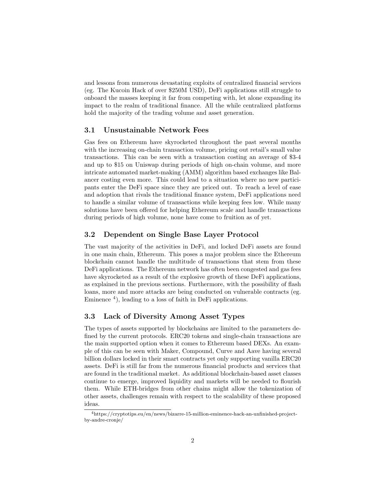and lessons from numerous devastating exploits of centralized financial services (eg. The Kucoin Hack of over \$250M USD), DeFi applications still struggle to onboard the masses keeping it far from competing with, let alone expanding its impact to the realm of traditional finance. All the while centralized platforms hold the majority of the trading volume and asset generation.

#### 3.1 Unsustainable Network Fees

Gas fees on Ethereum have skyrocketed throughout the past several months with the increasing on-chain transaction volume, pricing out retail's small value transactions. This can be seen with a transaction costing an average of \$3-4 and up to \$15 on Uniswap during periods of high on-chain volume, and more intricate automated market-making (AMM) algorithm based exchanges like Balancer costing even more. This could lead to a situation where no new participants enter the DeFi space since they are priced out. To reach a level of ease and adoption that rivals the traditional finance system, DeFi applications need to handle a similar volume of transactions while keeping fees low. While many solutions have been offered for helping Ethereum scale and handle transactions during periods of high volume, none have come to fruition as of yet.

#### 3.2 Dependent on Single Base Layer Protocol

The vast majority of the activities in DeFi, and locked DeFi assets are found in one main chain, Ethereum. This poses a major problem since the Ethereum blockchain cannot handle the multitude of transactions that stem from these DeFi applications. The Ethereum network has often been congested and gas fees have skyrocketed as a result of the explosive growth of these DeFi applications, as explained in the previous sections. Furthermore, with the possibility of flash loans, more and more attacks are being conducted on vulnerable contracts (eg. Eminence  $4$ ), leading to a loss of faith in DeFi applications.

#### 3.3 Lack of Diversity Among Asset Types

The types of assets supported by blockchains are limited to the parameters defined by the current protocols. ERC20 tokens and single-chain transactions are the main supported option when it comes to Ethereum based DEXs. An example of this can be seen with Maker, Compound, Curve and Aave having several billion dollars locked in their smart contracts yet only supporting vanilla ERC20 assets. DeFi is still far from the numerous financial products and services that are found in the traditional market. As additional blockchain-based asset classes continue to emerge, improved liquidity and markets will be needed to flourish them. While ETH-bridges from other chains might allow the tokenization of other assets, challenges remain with respect to the scalability of these proposed ideas.

<sup>4</sup>https://cryptotips.eu/en/news/bizarre-15-million-eminence-hack-an-unfinished-projectby-andre-cronje/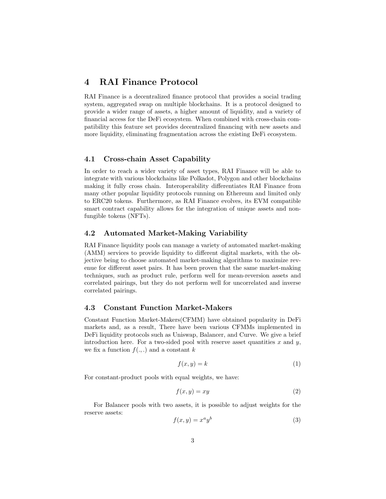### 4 RAI Finance Protocol

RAI Finance is a decentralized finance protocol that provides a social trading system, aggregated swap on multiple blockchains. It is a protocol designed to provide a wider range of assets, a higher amount of liquidity, and a variety of financial access for the DeFi ecosystem. When combined with cross-chain compatibility this feature set provides decentralized financing with new assets and more liquidity, eliminating fragmentation across the existing DeFi ecosystem.

#### 4.1 Cross-chain Asset Capability

In order to reach a wider variety of asset types, RAI Finance will be able to integrate with various blockchains like Polkadot, Polygon and other blockchains making it fully cross chain. Interoperability differentiates RAI Finance from many other popular liquidity protocols running on Ethereum and limited only to ERC20 tokens. Furthermore, as RAI Finance evolves, its EVM compatible smart contract capability allows for the integration of unique assets and nonfungible tokens (NFTs).

#### 4.2 Automated Market-Making Variability

RAI Finance liquidity pools can manage a variety of automated market-making (AMM) services to provide liquidity to different digital markets, with the objective being to choose automated market-making algorithms to maximize revenue for different asset pairs. It has been proven that the same market-making techniques, such as product rule, perform well for mean-reversion assets and correlated pairings, but they do not perform well for uncorrelated and inverse correlated pairings.

#### 4.3 Constant Function Market-Makers

Constant Function Market-Makers(CFMM) have obtained popularity in DeFi markets and, as a result, There have been various CFMMs implemented in DeFi liquidity protocols such as Uniswap, Balancer, and Curve. We give a brief introduction here. For a two-sided pool with reserve asset quantities  $x$  and  $y$ , we fix a function  $f(.,.)$  and a constant k

$$
f(x, y) = k \tag{1}
$$

For constant-product pools with equal weights, we have:

$$
f(x, y) = xy \tag{2}
$$

For Balancer pools with two assets, it is possible to adjust weights for the reserve assets:

$$
f(x,y) = x^a y^b \tag{3}
$$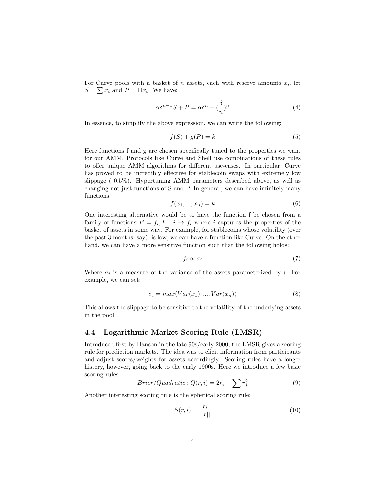For Curve pools with a basket of  $n$  assets, each with reserve amounts  $x_i$ , let  $S = \sum x_i$  and  $P = \Pi x_i$ . We have:

$$
\alpha \delta^{n-1} S + P = \alpha \delta^n + \left(\frac{\delta}{n}\right)^n \tag{4}
$$

In essence, to simplify the above expression, we can write the following:

$$
f(S) + g(P) = k \tag{5}
$$

Here functions f and g are chosen specifically tuned to the properties we want for our AMM. Protocols like Curve and Shell use combinations of these rules to offer unique AMM algorithms for different use-cases. In particular, Curve has proved to be incredibly effective for stablecoin swaps with extremely low slippage ( 0.5%). Hypertuning AMM parameters described above, as well as changing not just functions of S and P. In general, we can have infinitely many functions:

$$
f(x_1, \ldots, x_n) = k \tag{6}
$$

One interesting alternative would be to have the function f be chosen from a family of functions  $F = f_i, F : i \to f_i$  where i captures the properties of the basket of assets in some way. For example, for stablecoins whose volatility (over the past 3 months, say) is low, we can have a function like Curve. On the other hand, we can have a more sensitive function such that the following holds:

$$
f_i \propto \sigma_i \tag{7}
$$

Where  $\sigma_i$  is a measure of the variance of the assets parameterized by i. For example, we can set:

$$
\sigma_i = \max(Var(x_1), ..., Var(x_n))
$$
\n(8)

This allows the slippage to be sensitive to the volatility of the underlying assets in the pool.

#### 4.4 Logarithmic Market Scoring Rule (LMSR)

Introduced first by Hanson in the late 90s/early 2000, the LMSR gives a scoring rule for prediction markets. The idea was to elicit information from participants and adjust scores/weights for assets accordingly. Scoring rules have a longer history, however, going back to the early 1900s. Here we introduce a few basic scoring rules:

$$
Brier/Quadratic: Q(r, i) = 2r_i - \sum r_j^2
$$
 (9)

Another interesting scoring rule is the spherical scoring rule:

$$
S(r,i) = \frac{r_i}{||r||} \tag{10}
$$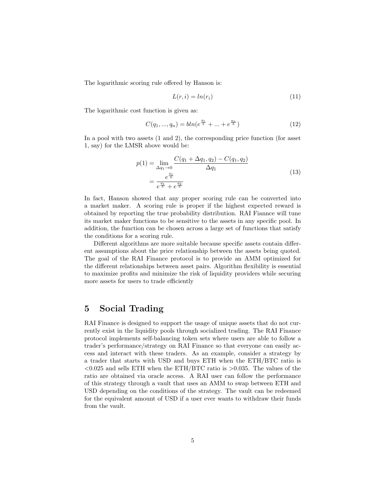The logarithmic scoring rule offered by Hanson is:

$$
L(r,i) = ln(r_i) \tag{11}
$$

The logarithmic cost function is given as:

$$
C(q_1, ..., q_n) = bln(e^{\frac{q_1}{b}} + ... + e^{\frac{q_n}{b}})
$$
\n(12)

In a pool with two assets (1 and 2), the corresponding price function (for asset 1, say) for the LMSR above would be:

$$
p(1) = \lim_{\Delta q_1 \to 0} \frac{C(q_1 + \Delta q_1, q_2) - C(q_1, q_2)}{\Delta q_1}
$$
  
= 
$$
\frac{e^{\frac{q_1}{b}}}{e^{\frac{q_1}{b}} + e^{\frac{q_2}{b}}}
$$
(13)

In fact, Hanson showed that any proper scoring rule can be converted into a market maker. A scoring rule is proper if the highest expected reward is obtained by reporting the true probability distribution. RAI Fiannce will tune its market maker functions to be sensitive to the assets in any specific pool. In addition, the function can be chosen across a large set of functions that satisfy the conditions for a scoring rule.

Different algorithms are more suitable because specific assets contain different assumptions about the price relationship between the assets being quoted. The goal of the RAI Finance protocol is to provide an AMM optimized for the different relationships between asset pairs. Algorithm flexibility is essential to maximize profits and minimize the risk of liquidity providers while securing more assets for users to trade efficiently

### 5 Social Trading

RAI Finance is designed to support the usage of unique assets that do not currently exist in the liquidity pools through socialized trading. The RAI Finance protocol implements self-balancing token sets where users are able to follow a trader's performance/strategy on RAI Finance so that everyone can easily access and interact with these traders. As an example, consider a strategy by a trader that starts with USD and buys ETH when the ETH/BTC ratio is  $< 0.025$  and sells ETH when the ETH/BTC ratio is  $> 0.035$ . The values of the ratio are obtained via oracle access. A RAI user can follow the performance of this strategy through a vault that uses an AMM to swap between ETH and USD depending on the conditions of the strategy. The vault can be redeemed for the equivalent amount of USD if a user ever wants to withdraw their funds from the vault.